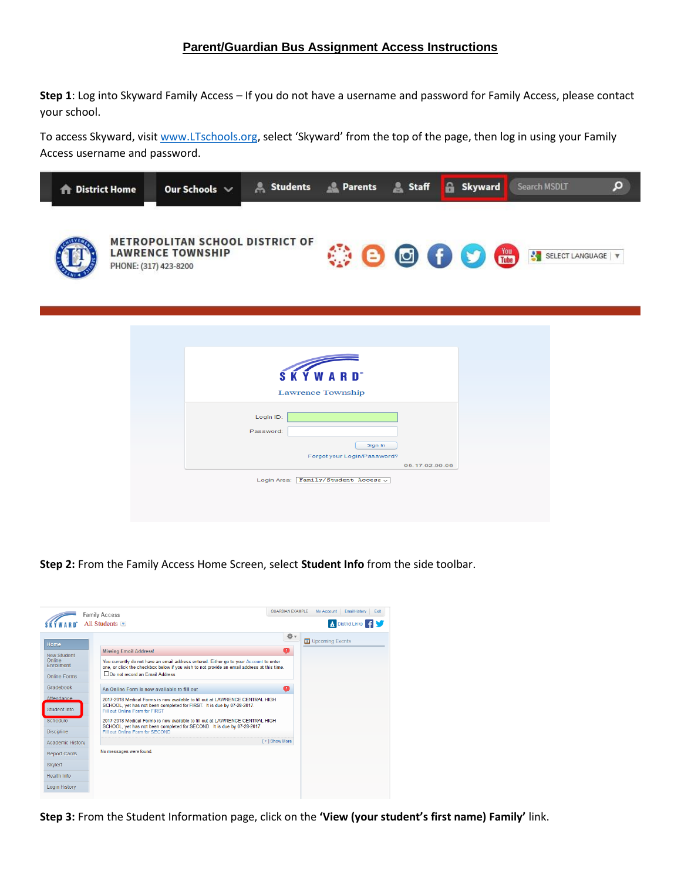## **Parent/Guardian Bus Assignment Access Instructions**

**Step 1**: Log into Skyward Family Access – If you do not have a username and password for Family Access, please contact your school.

To access Skyward, visit [www.LTschools.org](http://www.ltschools.org/), select 'Skyward' from the top of the page, then log in using your Family Access username and password.

| <b>The District Home</b> | Our Schools $\vee$                                                 | Students & Parents & Staff                                                                                               |                                                          | <b>A</b> Skyward | Search MSDLT    | $\Omega$ |
|--------------------------|--------------------------------------------------------------------|--------------------------------------------------------------------------------------------------------------------------|----------------------------------------------------------|------------------|-----------------|----------|
| PHONE: (317) 423-8200    | <b>METROPOLITAN SCHOOL DISTRICT OF</b><br><b>LAWRENCE TOWNSHIP</b> |                                                                                                                          | $\circledcirc$                                           |                  | SELECT LANGUAGE |          |
|                          |                                                                    | <b>WARD</b> <sup>*</sup><br>s<br><b>Lawrence Township</b><br>Login ID:<br>Password:<br>Login Area: Family/Student Access | Sign In<br>Forgot your Login/Password?<br>05.17.02.00.06 |                  |                 |          |

**Step 2:** From the Family Access Home Screen, select **Student Info** from the side toolbar.



**Step 3:** From the Student Information page, click on the **'View (your student's first name) Family'** link.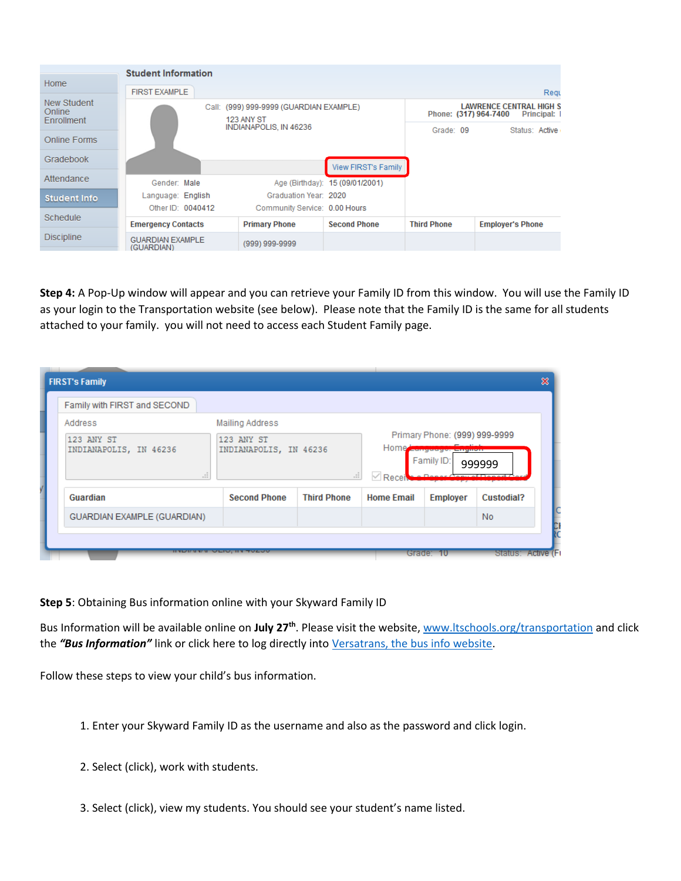| <b>Student Information</b>                 |                                                |                                                       |                                   |                    |                                                                       |  |  |
|--------------------------------------------|------------------------------------------------|-------------------------------------------------------|-----------------------------------|--------------------|-----------------------------------------------------------------------|--|--|
| Home                                       | <b>FIRST EXAMPLE</b><br>Requ                   |                                                       |                                   |                    |                                                                       |  |  |
| New Student<br>Online<br><b>Enrollment</b> | Call:                                          | 123 ANY ST                                            | (999) 999-9999 (GUARDIAN EXAMPLE) |                    | <b>LAWRENCE CENTRAL HIGH S</b><br>Phone: (317) 964-7400<br>Principal: |  |  |
| Online Forms                               |                                                | INDIANAPOLIS, IN 46236                                |                                   | Grade: 09          | Status: Active                                                        |  |  |
| Gradebook                                  |                                                |                                                       | <b>View FIRST's Family</b>        |                    |                                                                       |  |  |
| Attendance                                 | Gender: Male                                   |                                                       | Age (Birthday): 15 (09/01/2001)   |                    |                                                                       |  |  |
| <b>Student Info</b>                        | Language: English                              | Graduation Year: 2020                                 |                                   |                    |                                                                       |  |  |
| Schedule                                   | Other ID: 0040412<br><b>Emergency Contacts</b> | Community Service: 0.00 Hours<br><b>Primary Phone</b> | <b>Second Phone</b>               | <b>Third Phone</b> | <b>Employer's Phone</b>                                               |  |  |
| <b>Discipline</b>                          | <b>GUARDIAN EXAMPLE</b><br>(GUARDIAN)          | (999) 999-9999                                        |                                   |                    |                                                                       |  |  |

**Step 4:** A Pop-Up window will appear and you can retrieve your Family ID from this window. You will use the Family ID as your login to the Transportation website (see below). Please note that the Family ID is the same for all students attached to your family. you will not need to access each Student Family page.

| <b>FIRST's Family</b>                       |                                            |                    |                                                                                                 |                 |                    | × |
|---------------------------------------------|--------------------------------------------|--------------------|-------------------------------------------------------------------------------------------------|-----------------|--------------------|---|
| Family with FIRST and SECOND                |                                            |                    |                                                                                                 |                 |                    |   |
| Address                                     | <b>Mailing Address</b>                     |                    |                                                                                                 |                 |                    |   |
| 123 ANY ST<br>INDIANAPOLIS, IN 46236<br>иã. | 123 ANY ST<br>INDIANAPOLIS, IN 46236<br>H. |                    | Primary Phone: (999) 999-9999<br>Home Language: Linguan<br>Family ID:<br>999999<br>$\vee$ Recei |                 |                    |   |
| Guardian                                    | <b>Second Phone</b>                        | <b>Third Phone</b> | <b>Home Email</b>                                                                               | <b>Employer</b> | Custodial?         |   |
| <b>GUARDIAN EXAMPLE (GUARDIAN)</b>          |                                            |                    |                                                                                                 |                 | No.                |   |
| --------                                    | $\sim$ – $\sim$ – $\sim$                   |                    | Grade.                                                                                          | - 10            | Status: Active (F) |   |

**Step 5**: Obtaining Bus information online with your Skyward Family ID

Bus Information will be available online on **July 27th**. Please visit the website[, www.ltschools.org/transportation](http://www.ltschools.org/transportation) and click the *"Bus Information"* link or click here to log directly into [Versatrans, the bus info website.](https://bus.ltschools.org/elinkrp/Login.aspx)

Follow these steps to view your child's bus information.

- 1. Enter your Skyward Family ID as the username and also as the password and click login.
- 2. Select (click), work with students.
- 3. Select (click), view my students. You should see your student's name listed.